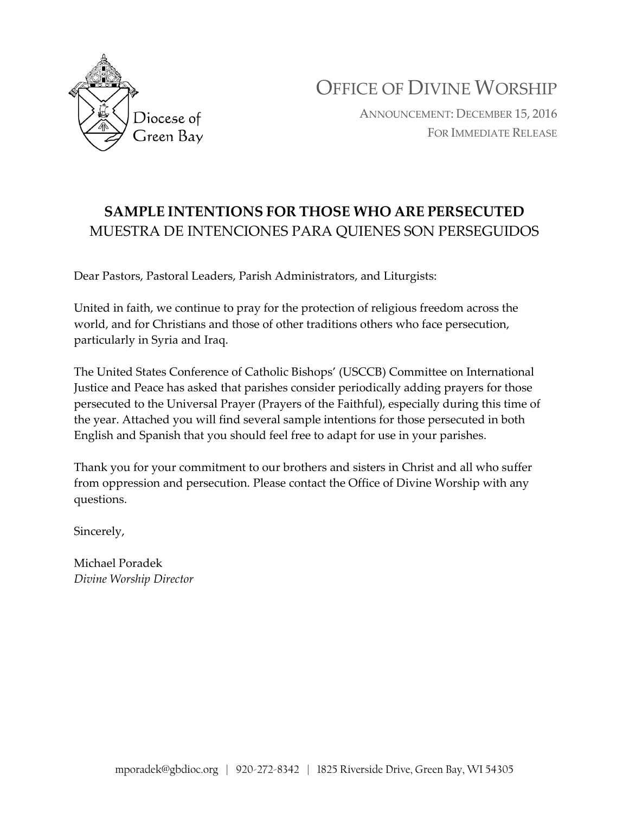

OFFICE OF DIVINE WORSHIP

ANNOUNCEMENT: DECEMBER 15, 2016 FOR IMMEDIATE RELEASE

## **SAMPLE INTENTIONS FOR THOSE WHO ARE PERSECUTED** MUESTRA DE INTENCIONES PARA QUIENES SON PERSEGUIDOS

Dear Pastors, Pastoral Leaders, Parish Administrators, and Liturgists:

United in faith, we continue to pray for the protection of religious freedom across the world, and for Christians and those of other traditions others who face persecution, particularly in Syria and Iraq.

The United States Conference of Catholic Bishops' (USCCB) Committee on International Justice and Peace has asked that parishes consider periodically adding prayers for those persecuted to the Universal Prayer (Prayers of the Faithful), especially during this time of the year. Attached you will find several sample intentions for those persecuted in both English and Spanish that you should feel free to adapt for use in your parishes.

Thank you for your commitment to our brothers and sisters in Christ and all who suffer from oppression and persecution. Please contact the Office of Divine Worship with any questions.

Sincerely,

Michael Poradek *Divine Worship Director*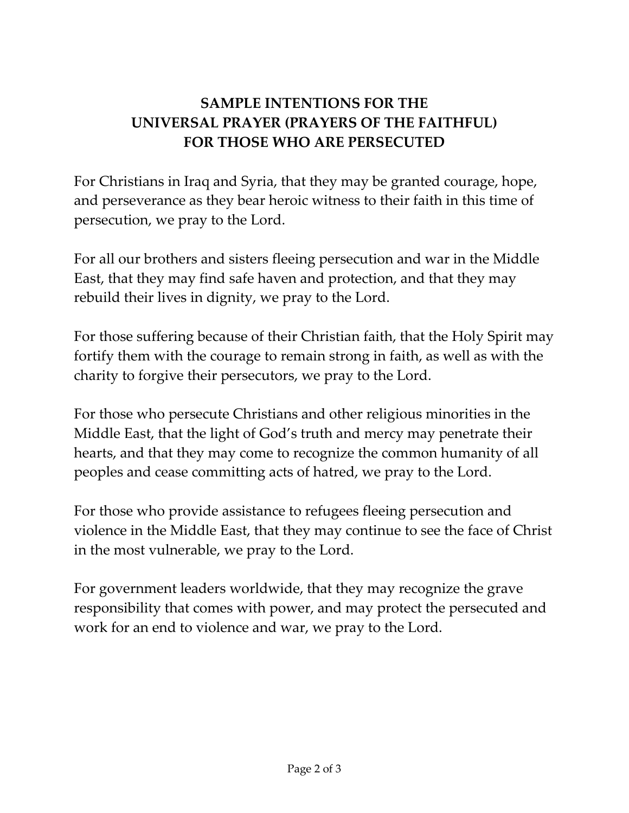## **SAMPLE INTENTIONS FOR THE UNIVERSAL PRAYER (PRAYERS OF THE FAITHFUL) FOR THOSE WHO ARE PERSECUTED**

For Christians in Iraq and Syria, that they may be granted courage, hope, and perseverance as they bear heroic witness to their faith in this time of persecution, we pray to the Lord.

For all our brothers and sisters fleeing persecution and war in the Middle East, that they may find safe haven and protection, and that they may rebuild their lives in dignity, we pray to the Lord.

For those suffering because of their Christian faith, that the Holy Spirit may fortify them with the courage to remain strong in faith, as well as with the charity to forgive their persecutors, we pray to the Lord.

For those who persecute Christians and other religious minorities in the Middle East, that the light of God's truth and mercy may penetrate their hearts, and that they may come to recognize the common humanity of all peoples and cease committing acts of hatred, we pray to the Lord.

For those who provide assistance to refugees fleeing persecution and violence in the Middle East, that they may continue to see the face of Christ in the most vulnerable, we pray to the Lord.

For government leaders worldwide, that they may recognize the grave responsibility that comes with power, and may protect the persecuted and work for an end to violence and war, we pray to the Lord.